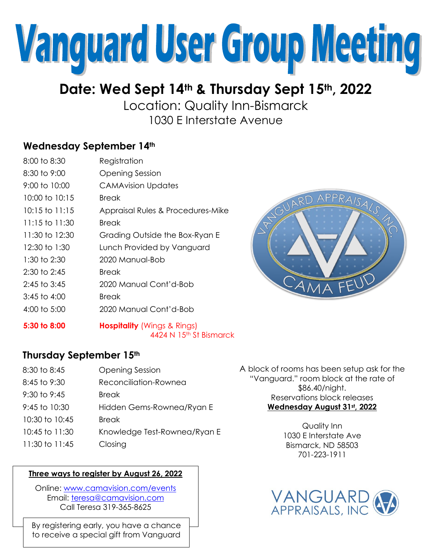

# **Date: Wed Sept 14th & Thursday Sept 15th , 2022**

Location: Quality Inn-Bismarck 1030 E Interstate Avenue

## **Wednesday September 14th**

| 8:00 to 8:30       | Registration                      |
|--------------------|-----------------------------------|
| 8:30 to 9:00       | <b>Opening Session</b>            |
| 9:00 to 10:00      | <b>CAMAvision Updates</b>         |
| 10:00 to 10:15     | <b>Break</b>                      |
| $10:15$ to $11:15$ | Appraisal Rules & Procedures-Mike |
| 11:15 to 11:30     | Break                             |
| 11:30 to 12:30     | Grading Outside the Box-Ryan E    |
| 12:30 to 1:30      | Lunch Provided by Vanguard        |
| 1:30 to 2:30       | 2020 Manual-Bob                   |
| $2:30$ to $2:45$   | <b>Break</b>                      |
| $2:45$ to $3:45$   | 2020 Manual Cont'd-Bob            |
| $3:45$ to $4:00$   | <b>Break</b>                      |
| $4:00$ to 5:00     | 2020 Manual Cont'd-Bob            |
|                    |                                   |



### **5:30 to 8:00 Hospitality** (Wings & Rings) 4424 N 15th St Bismarck

### **Thursday September 15th**

| 8:30 to 8:45       | <b>Opening Session</b>       |
|--------------------|------------------------------|
| 8:45 to 9:30       | Reconciliation-Rownea        |
| $9:30$ to $9:45$   | <b>Break</b>                 |
| 9:45 to 10:30      | Hidden Gems-Rownea/Ryan E    |
| 10:30 to 10:45     | <b>Break</b>                 |
| $10:45$ to $11:30$ | Knowledge Test-Rownea/Ryan E |
| 11:30 to 11:45     | Closing                      |

### **Three ways to register by August 26, 2022**

Online: [www.camavision.com/events](http://www.camavision.com/events) Email: [teresa@camavision.com](mailto:teresa@camavision.com) Call Teresa 319-365-8625

By registering early, you have a chance to receive a special gift from Vanguard A block of rooms has been setup ask for the "Vanguard." room block at the rate of \$86.40/night. Reservations block releases **Wednesday August 31st, 2022**

> Quality Inn 1030 E Interstate Ave Bismarck, ND 58503 701-223-1911